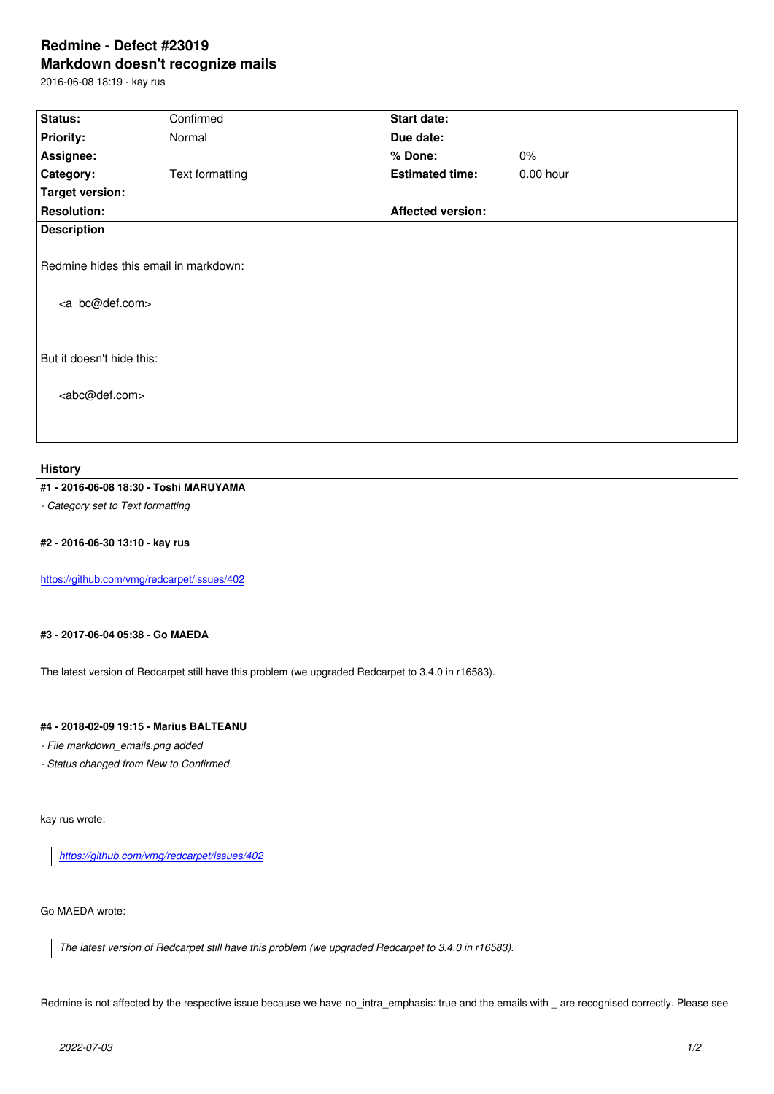#### **Markdown doesn't recognize mails**

2016-06-08 18:19 - kay rus

| Status:                                                                | Confirmed       | Start date:              |           |  |
|------------------------------------------------------------------------|-----------------|--------------------------|-----------|--|
| <b>Priority:</b>                                                       | Normal          | Due date:                |           |  |
| Assignee:                                                              |                 | % Done:                  | $0\%$     |  |
| Category:                                                              | Text formatting | <b>Estimated time:</b>   | 0.00 hour |  |
| <b>Target version:</b>                                                 |                 |                          |           |  |
| <b>Resolution:</b>                                                     |                 | <b>Affected version:</b> |           |  |
| <b>Description</b>                                                     |                 |                          |           |  |
| Redmine hides this email in markdown:<br><a_bc@def.com></a_bc@def.com> |                 |                          |           |  |
| But it doesn't hide this:                                              |                 |                          |           |  |
| <abc@def.com></abc@def.com>                                            |                 |                          |           |  |

#### **History**

## **#1 - 2016-06-08 18:30 - Toshi MARUYAMA**

*- Category set to Text formatting*

# **#2 - 2016-06-30 13:10 - kay rus**

https://github.com/vmg/redcarpet/issues/402

## **[#3 - 2017-06-04 05:38 - Go MAEDA](https://github.com/vmg/redcarpet/issues/402)**

The latest version of Redcarpet still have this problem (we upgraded Redcarpet to 3.4.0 in r16583).

## **#4 - 2018-02-09 19:15 - Marius BALTEANU**

*- File markdown\_emails.png added*

*- Status changed from New to Confirmed*

kay rus wrote:

*https://github.com/vmg/redcarpet/issues/402*

# Go [MAEDA wrote:](https://github.com/vmg/redcarpet/issues/402)

*The latest version of Redcarpet still have this problem (we upgraded Redcarpet to 3.4.0 in r16583).*

Redmine is not affected by the respective issue because we have no\_intra\_emphasis: true and the emails with \_ are recognised correctly. Please see